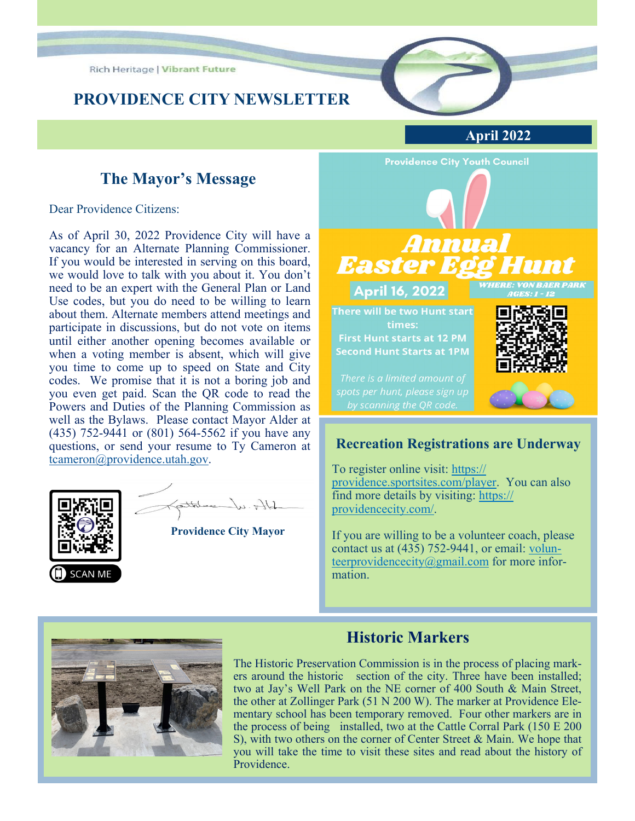**Rich Heritage | Vibrant Future** 

## **PROVIDENCE CITY NEWSLETTER**



## **The Mayor's Message**

Dear Providence Citizens:

As of April 30, 2022 Providence City will have a vacancy for an Alternate Planning Commissioner. If you would be interested in serving on this board, we would love to talk with you about it. You don't need to be an expert with the General Plan or Land Use codes, but you do need to be willing to learn about them. Alternate members attend meetings and participate in discussions, but do not vote on items until either another opening becomes available or when a voting member is absent, which will give you time to come up to speed on State and City codes. We promise that it is not a boring job and you even get paid. Scan the QR code to read the Powers and Duties of the Planning Commission as well as the Bylaws. Please contact Mayor Alder at (435) 752-9441 or (801) 564-5562 if you have any questions, or send your resume to Ty Cameron at tcameron@providence.utah.gov.



 $Hf_{\nu}$ .  $\mu$ 

**Providence City Mayor** 



#### **Recreation Registrations are Underway**

To register online visit: https:// providence.sportsites.com/player. You can also find more details by visiting: https:// providencecity.com/.

If you are willing to be a volunteer coach, please contact us at (435) 752-9441, or email: volunteerprovidencecity@gmail.com for more information.



### **Historic Markers**

The Historic Preservation Commission is in the process of placing markers around the historic section of the city. Three have been installed; two at Jay's Well Park on the NE corner of 400 South & Main Street, the other at Zollinger Park (51 N 200 W). The marker at Providence Elementary school has been temporary removed. Four other markers are in the process of being installed, two at the Cattle Corral Park (150 E 200 S), with two others on the corner of Center Street & Main. We hope that you will take the time to visit these sites and read about the history of Providence.